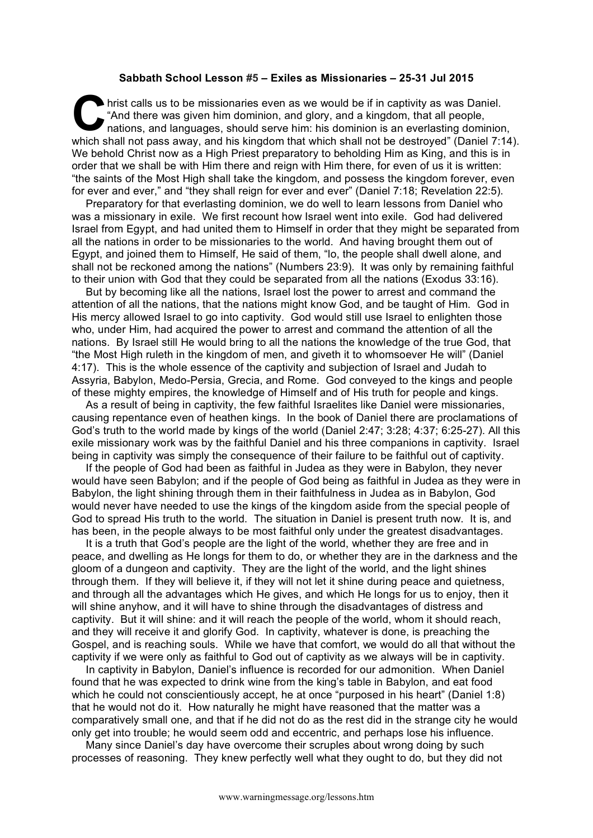## **Sabbath School Lesson #5 – Exiles as Missionaries – 25-31 Jul 2015**

hrist calls us to be missionaries even as we would be if in captivity as was Daniel. "And there was given him dominion, and glory, and a kingdom, that all people, nations, and languages, should serve him: his dominion is an everlasting dominion, which shall not pass away, and his kingdom that which shall not be destroyed" (Daniel 7:14). We behold Christ now as a High Priest preparatory to beholding Him as King, and this is in order that we shall be with Him there and reign with Him there, for even of us it is written: "the saints of the Most High shall take the kingdom, and possess the kingdom forever, even for ever and ever," and "they shall reign for ever and ever" (Daniel 7:18; Revelation 22:5). **C** hris

Preparatory for that everlasting dominion, we do well to learn lessons from Daniel who was a missionary in exile. We first recount how Israel went into exile. God had delivered Israel from Egypt, and had united them to Himself in order that they might be separated from all the nations in order to be missionaries to the world. And having brought them out of Egypt, and joined them to Himself, He said of them, "lo, the people shall dwell alone, and shall not be reckoned among the nations" (Numbers 23:9). It was only by remaining faithful to their union with God that they could be separated from all the nations (Exodus 33:16).

But by becoming like all the nations, Israel lost the power to arrest and command the attention of all the nations, that the nations might know God, and be taught of Him. God in His mercy allowed Israel to go into captivity. God would still use Israel to enlighten those who, under Him, had acquired the power to arrest and command the attention of all the nations. By Israel still He would bring to all the nations the knowledge of the true God, that "the Most High ruleth in the kingdom of men, and giveth it to whomsoever He will" (Daniel 4:17). This is the whole essence of the captivity and subjection of Israel and Judah to Assyria, Babylon, Medo-Persia, Grecia, and Rome. God conveyed to the kings and people of these mighty empires, the knowledge of Himself and of His truth for people and kings.

As a result of being in captivity, the few faithful Israelites like Daniel were missionaries, causing repentance even of heathen kings. In the book of Daniel there are proclamations of God's truth to the world made by kings of the world (Daniel 2:47; 3:28; 4:37; 6:25-27). All this exile missionary work was by the faithful Daniel and his three companions in captivity. Israel being in captivity was simply the consequence of their failure to be faithful out of captivity.

If the people of God had been as faithful in Judea as they were in Babylon, they never would have seen Babylon; and if the people of God being as faithful in Judea as they were in Babylon, the light shining through them in their faithfulness in Judea as in Babylon, God would never have needed to use the kings of the kingdom aside from the special people of God to spread His truth to the world. The situation in Daniel is present truth now. It is, and has been, in the people always to be most faithful only under the greatest disadvantages.

It is a truth that God's people are the light of the world, whether they are free and in peace, and dwelling as He longs for them to do, or whether they are in the darkness and the gloom of a dungeon and captivity. They are the light of the world, and the light shines through them. If they will believe it, if they will not let it shine during peace and quietness, and through all the advantages which He gives, and which He longs for us to enjoy, then it will shine anyhow, and it will have to shine through the disadvantages of distress and captivity. But it will shine: and it will reach the people of the world, whom it should reach, and they will receive it and glorify God. In captivity, whatever is done, is preaching the Gospel, and is reaching souls. While we have that comfort, we would do all that without the captivity if we were only as faithful to God out of captivity as we always will be in captivity.

In captivity in Babylon, Daniel's influence is recorded for our admonition. When Daniel found that he was expected to drink wine from the king's table in Babylon, and eat food which he could not conscientiously accept, he at once "purposed in his heart" (Daniel 1:8) that he would not do it. How naturally he might have reasoned that the matter was a comparatively small one, and that if he did not do as the rest did in the strange city he would only get into trouble; he would seem odd and eccentric, and perhaps lose his influence.

Many since Daniel's day have overcome their scruples about wrong doing by such processes of reasoning. They knew perfectly well what they ought to do, but they did not